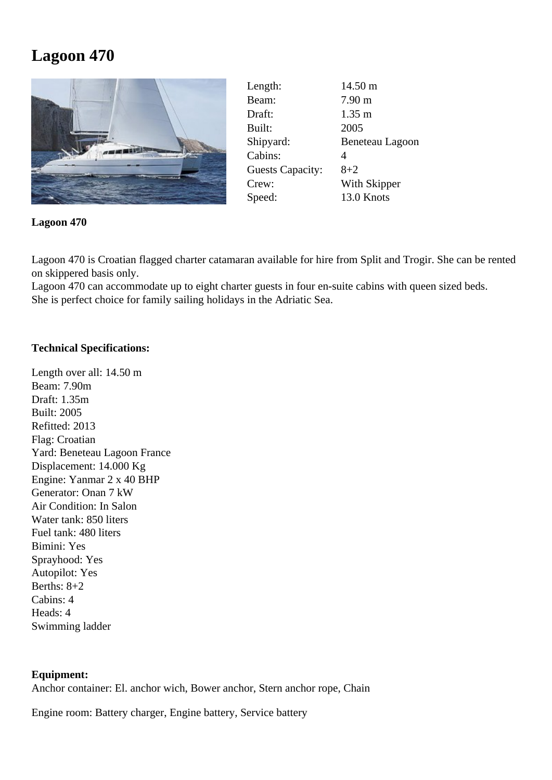## **Lagoon 470**



| Length:                 | $14.50 \text{ m}$ |
|-------------------------|-------------------|
| Beam:                   | $7.90 \text{ m}$  |
| Draft:                  | $1.35 \text{ m}$  |
| Built:                  | 2005              |
| Shipyard:               | Beneteau Lagoon   |
| Cabins:                 | 4                 |
| <b>Guests Capacity:</b> | $8 + 2$           |
| Crew:                   | With Skipper      |
| Speed:                  | 13.0 Knots        |

**Lagoon 470**

Lagoon 470 is Croatian flagged charter catamaran available for hire from Split and Trogir. She can be rented on skippered basis only.

Lagoon 470 can accommodate up to eight charter guests in four en-suite cabins with queen sized beds. She is perfect choice for family sailing holidays in the Adriatic Sea.

## **Technical Specifications:**

Length over all: 14.50 m Beam: 7.90m Draft: 1.35m Built: 2005 Refitted: 2013 Flag: Croatian Yard: Beneteau Lagoon France Displacement: 14.000 Kg Engine: Yanmar 2 x 40 BHP Generator: Onan 7 kW Air Condition: In Salon Water tank: 850 liters Fuel tank: 480 liters Bimini: Yes Sprayhood: Yes Autopilot: Yes Berths:  $8+2$ Cabins: 4 Heads: 4 Swimming ladder

## **Equipment:**

Anchor container: El. anchor wich, Bower anchor, Stern anchor rope, Chain

Engine room: Battery charger, Engine battery, Service battery